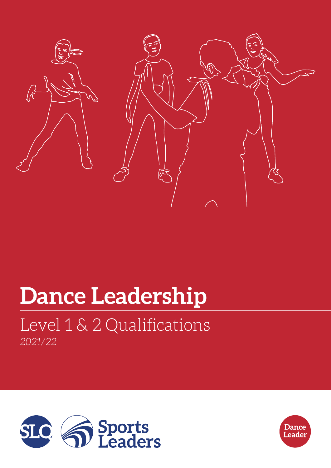

# **Dance Leadership**

## *2021/22* Level 1 & 2 Qualifications



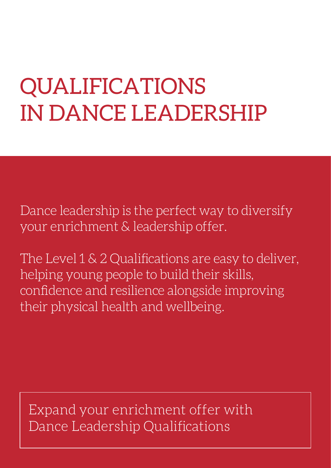## QUALIFICATIONS IN DANCE LEADERSHIP

Dance leadership is the perfect way to diversify your enrichment & leadership offer.

The Level 1 & 2 Qualifications are easy to deliver, helping young people to build their skills, confidence and resilience alongside improving their physical health and wellbeing.

Expand your enrichment offer with Dance Leadership Qualifications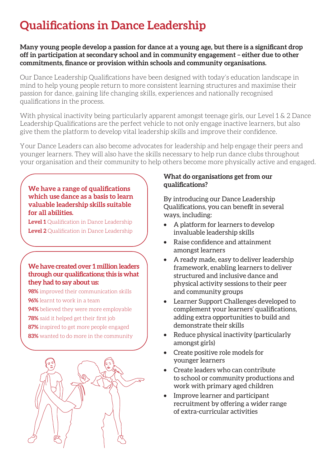## **Qualifications in Dance Leadership**

**Many young people develop a passion for dance at a young age, but there is a significant drop off in participation at secondary school and in community engagement – either due to other commitments, finance or provision within schools and community organisations.**

Our Dance Leadership Qualifications have been designed with today's education landscape in mind to help young people return to more consistent learning structures and maximise their passion for dance, gaining life changing skills, experiences and nationally recognised qualifications in the process.

With physical inactivity being particularly apparent amongst teenage girls, our Level 1 & 2 Dance Leadership Qualifications are the perfect vehicle to not only engage inactive learners, but also give them the platform to develop vital leadership skills and improve their confidence.

Your Dance Leaders can also become advocates for leadership and help engage their peers and younger learners. They will also have the skills necessary to help run dance clubs throughout your organisation and their community to help others become more physically active and engaged.

#### **We have a range of qualifications which use dance as a basis to learn valuable leadership skills suitable for all abilities.**

**Level 1** Qualification in Dance Leadership **Level 2** Qualification in Dance Leadership

#### **We have created over 1 million leaders through our qualifications; this is what they had to say about us:**

- **98%** improved their communication skills **96%** learnt to work in a team
- **94%** believed they were more employable
- **78%** said it helped get their first job
- **87%** inspired to get more people engaged
- **83%** wanted to do more in the community



#### **What do organisations get from our qualifications?**

By introducing our Dance Leadership Qualifications, you can benefit in several ways, including:

- A platform for learners to develop invaluable leadership skills
- Raise confidence and attainment amongst learners
- A ready made, easy to deliver leadership framework, enabling learners to deliver structured and inclusive dance and physical activity sessions to their peer and community groups
- Learner Support Challenges developed to complement your learners' qualifications, adding extra opportunities to build and demonstrate their skills
- Reduce physical inactivity (particularly amongst girls)
- Create positive role models for younger learners
- Create leaders who can contribute to school or community productions and work with primary aged children
- Improve learner and participant recruitment by offering a wider range of extra-curricular activities